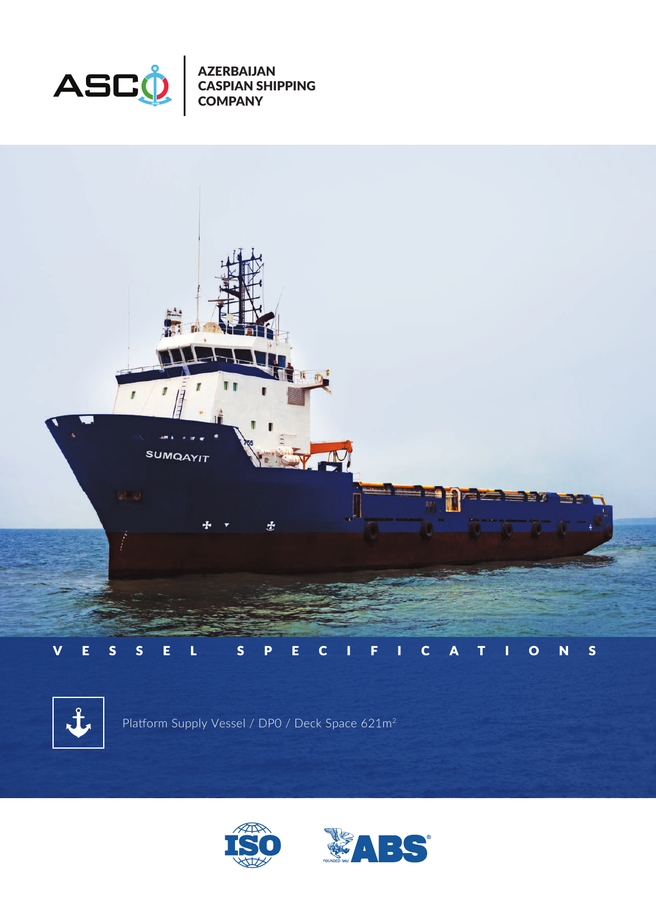

AZERBAIJAN CASPIAN SHIPPING COMPANY





Platform Supply Vessel / DP0 / Deck Space 621m2



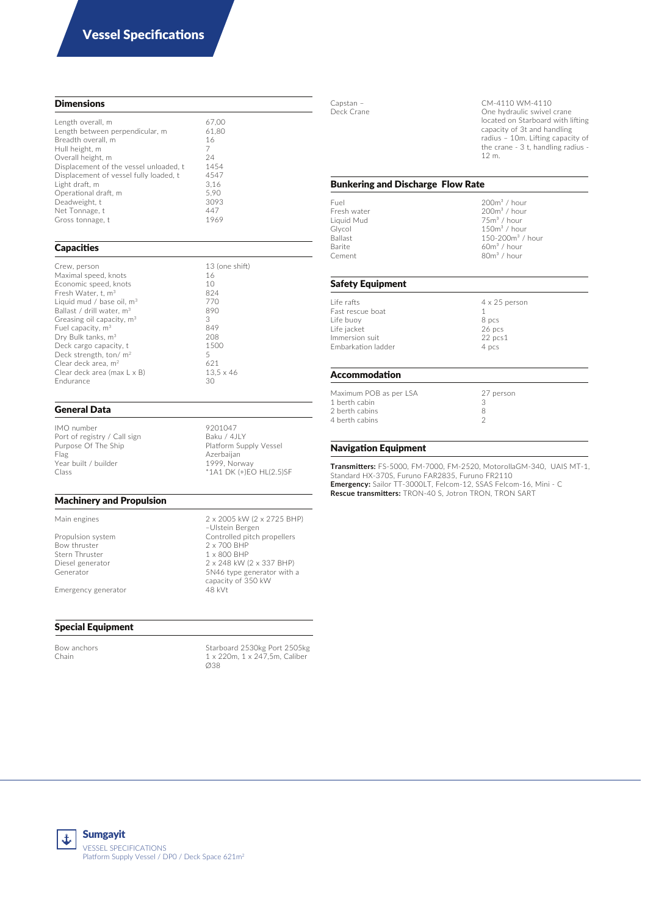## **Dimensions**

| Length overall, m                      | 67.00 |
|----------------------------------------|-------|
| Length between perpendicular, m        | 61.80 |
| Breadth overall, m                     | 16    |
| Hull height, m                         | 7     |
| Overall height, m                      | 24    |
| Displacement of the vessel unloaded, t | 1454  |
| Displacement of vessel fully loaded, t | 4547  |
| Light draft, m                         | 3.16  |
| Operational draft, m                   | 5.90  |
| Deadweight, t                          | 3093  |
| Net Tonnage, t                         | 447   |
| Gross tonnage, t                       | 1969  |
|                                        |       |

#### **Capacities**

| Crew, person                          | 13 (one shift)   |
|---------------------------------------|------------------|
| Maximal speed, knots                  | 16               |
| Economic speed, knots                 | 10               |
| Fresh Water, t, m <sup>3</sup>        | 824              |
| Liquid mud / base oil, $m3$           | 770              |
| Ballast / drill water, m <sup>3</sup> | 890              |
| Greasing oil capacity, m <sup>3</sup> | 3                |
| Fuel capacity, m <sup>3</sup>         | 849              |
| Dry Bulk tanks, m <sup>3</sup>        | 208              |
| Deck cargo capacity, t                | 1500             |
| Deck strength, ton/m <sup>2</sup>     | 5                |
| Clear deck area, m <sup>2</sup>       | 621              |
| Clear deck area (max L x B)           | $13.5 \times 46$ |
| Endurance                             | 30               |

## General Data

IMO number 9201047<br>Port of registry / Call sign Baku / 4JLY Port of registry / Call sign<br>Purpose Of The Ship Purpose Of The Ship Purpose Of The Ship Platform Supply Vessel<br>Plag Azerbaijan Year built / builder<br>Class

#### Machinery and Propulsion

Bow thruster<br>Stern Thruster Stern Thruster 1 x 800 BHP<br>Diesel generator 2 x 248 kW ( Diesel generator 2 x 248 kW (2 x 337 BHP)<br>Generator 2 x 248 kW (2 x 337 BHP)

Emergency generator

# Special Equipment

Bow anchors Starboard 2530kg Port 2505kg Chain 1 x 220m, 1 x 247,5m, Caliber

Main engines 2 x 2005 kW (2 x 2725 BHP) –Ulstein Bergen Propulsion system Controlled pitch propellers<br>
Bow thruster Controlled pitch propellers<br>
2 x 700 BHP

> 5N46 type generator with a capacity of 350 kW

 $*1A1$  DK (+)EO HL(2.5)SF

Azerbaijan<br>1999, Norway

Ø38

Capstan – CM-4110 WM-4110 One hydraulic swivel crane located on Starboard with lifting capacity of 3t and handling radius – 10m. Lifting capacity of the crane - 3 t, handling radius - 12 m.

## Bunkering and Discharge Flow Rate

Liquid Mud 75m³ / hour Barite 60m<sup>3</sup> / hour Cement 60m<sup>3</sup> / hour

Fuel 200m³ / hour Fresh water **200m**<sup>3</sup> / hour Glycol and the control of the control of the control of the control of the control of the control of the control of the control of the control of the control of the control of the control of the control of the control of t  $Ba$ llast 150-200m<sup>3</sup> / hour<br>Barite 60m<sup>3</sup> / hour  $80m<sup>3</sup>$  / hour

#### Safety Equipment

| Life rafts         | $4 \times 25$ person |
|--------------------|----------------------|
| Fast rescue boat   |                      |
| Life buoy          | 8 pcs                |
| Life jacket        | 26 pcs               |
| Immersion suit     | $22$ pcs $1$         |
| Embarkation ladder | 4 pcs                |
|                    |                      |

#### Accommodation

Maximum POB as per LSA 27 person<br>1 berth cabin 3 1 berth cabin<br>
2 berth cabins<br>
4 berth cabins<br>
2 2 berth cabins 4 berth cabins

#### Navigation Equipment

**Transmitters:** FS-5000, FM-7000, FM-2520, MotorollaGM-340, UAIS MT-1, Standard HX-370S, Furuno FAR2835, Furuno FR2110 **Emergency:** Sailor TT-3000LT, Felcom-12, SSAS Felcom-16, Mini - C **Rescue transmitters:** TRON-40 S, Jotron TRON, TRON SART

t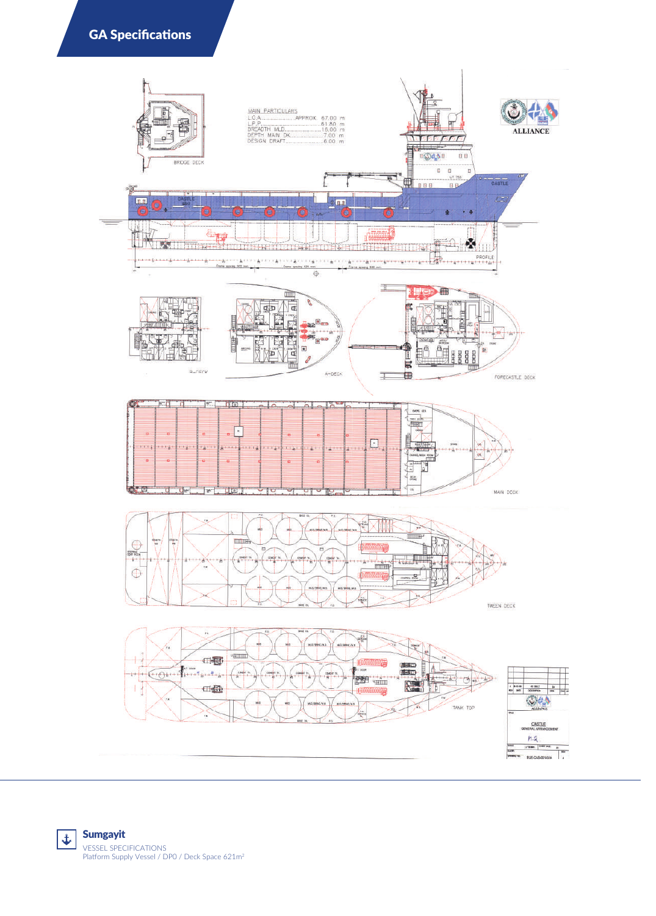